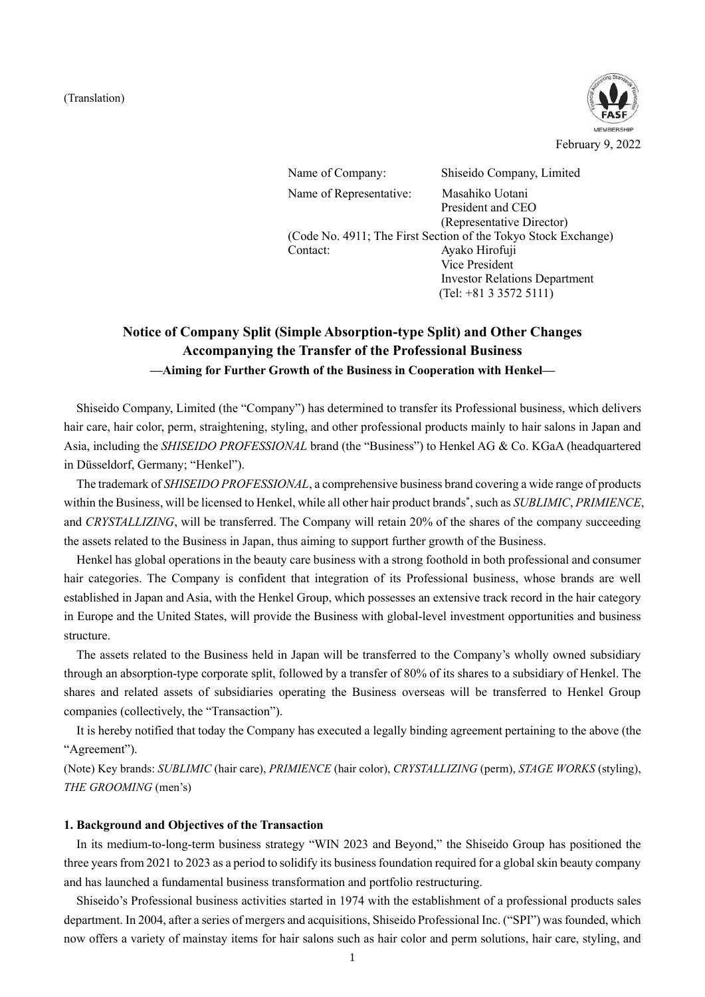#### (Translation)



Name of Company: Shiseido Company, Limited Name of Representative: Masahiko Uotani President and CEO (Representative Director) (Code No. 4911; The First Section of the Tokyo Stock Exchange) Contact: Ayako Hirofuji Vice President Investor Relations Department

(Tel: +81 3 3572 5111)

# **Notice of Company Split (Simple Absorption-type Split) and Other Changes Accompanying the Transfer of the Professional Business —Aiming for Further Growth of the Business in Cooperation with Henkel—**

Shiseido Company, Limited (the "Company") has determined to transfer its Professional business, which delivers hair care, hair color, perm, straightening, styling, and other professional products mainly to hair salons in Japan and Asia, including the *SHISEIDO PROFESSIONAL* brand (the "Business") to Henkel AG & Co. KGaA (headquartered in Düsseldorf, Germany; "Henkel").

The trademark of *SHISEIDO PROFESSIONAL*, a comprehensive business brand covering a wide range of products within the Business, will be licensed to Henkel, while all other hair product brands\* , such as *SUBLIMIC*, *PRIMIENCE*, and *CRYSTALLIZING*, will be transferred. The Company will retain 20% of the shares of the company succeeding the assets related to the Business in Japan, thus aiming to support further growth of the Business.

Henkel has global operations in the beauty care business with a strong foothold in both professional and consumer hair categories. The Company is confident that integration of its Professional business, whose brands are well established in Japan and Asia, with the Henkel Group, which possesses an extensive track record in the hair category in Europe and the United States, will provide the Business with global-level investment opportunities and business structure.

The assets related to the Business held in Japan will be transferred to the Company's wholly owned subsidiary through an absorption-type corporate split, followed by a transfer of 80% of its shares to a subsidiary of Henkel. The shares and related assets of subsidiaries operating the Business overseas will be transferred to Henkel Group companies (collectively, the "Transaction").

It is hereby notified that today the Company has executed a legally binding agreement pertaining to the above (the "Agreement").

(Note) Key brands: *SUBLIMIC* (hair care), *PRIMIENCE* (hair color), *CRYSTALLIZING* (perm), *STAGE WORKS* (styling), *THE GROOMING* (men's)

#### **1. Background and Objectives of the Transaction**

In its medium-to-long-term business strategy "WIN 2023 and Beyond," the Shiseido Group has positioned the three years from 2021 to 2023 as a period to solidify its business foundation required for a global skin beauty company and has launched a fundamental business transformation and portfolio restructuring.

Shiseido's Professional business activities started in 1974 with the establishment of a professional products sales department. In 2004, after a series of mergers and acquisitions, Shiseido Professional Inc. ("SPI") was founded, which now offers a variety of mainstay items for hair salons such as hair color and perm solutions, hair care, styling, and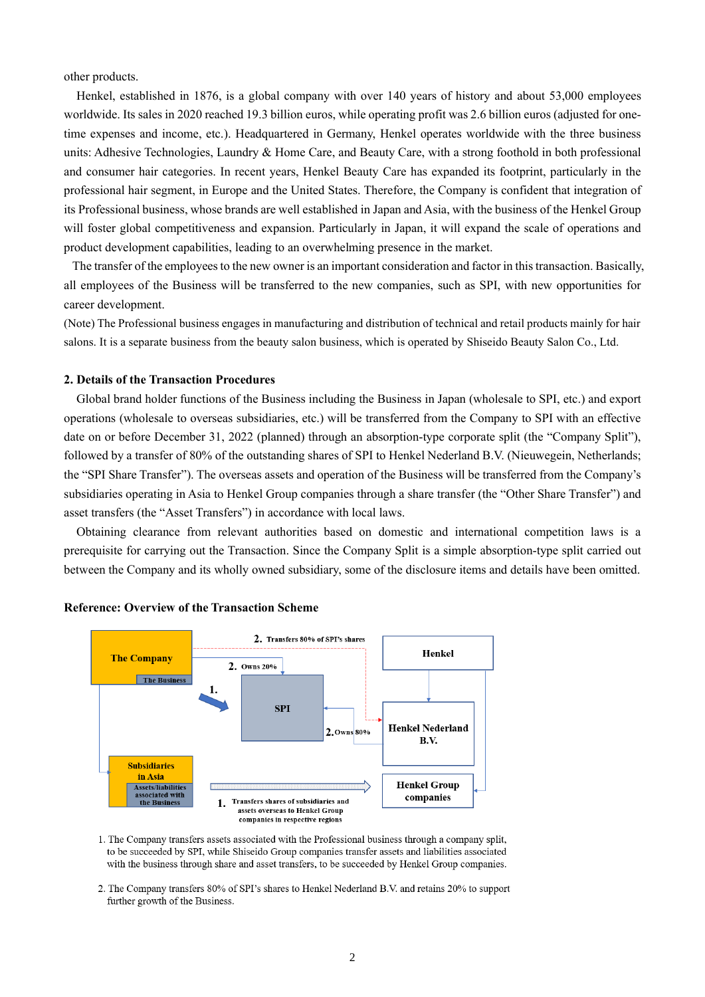other products.

Henkel, established in 1876, is a global company with over 140 years of history and about 53,000 employees worldwide. Its sales in 2020 reached 19.3 billion euros, while operating profit was 2.6 billion euros (adjusted for onetime expenses and income, etc.). Headquartered in Germany, Henkel operates worldwide with the three business units: Adhesive Technologies, Laundry & Home Care, and Beauty Care, with a strong foothold in both professional and consumer hair categories. In recent years, Henkel Beauty Care has expanded its footprint, particularly in the professional hair segment, in Europe and the United States. Therefore, the Company is confident that integration of its Professional business, whose brands are well established in Japan and Asia, with the business of the Henkel Group will foster global competitiveness and expansion. Particularly in Japan, it will expand the scale of operations and product development capabilities, leading to an overwhelming presence in the market.

The transfer of the employees to the new owner is an important consideration and factor in this transaction. Basically, all employees of the Business will be transferred to the new companies, such as SPI, with new opportunities for career development.

(Note) The Professional business engages in manufacturing and distribution of technical and retail products mainly for hair salons. It is a separate business from the beauty salon business, which is operated by Shiseido Beauty Salon Co., Ltd.

#### **2. Details of the Transaction Procedures**

Global brand holder functions of the Business including the Business in Japan (wholesale to SPI, etc.) and export operations (wholesale to overseas subsidiaries, etc.) will be transferred from the Company to SPI with an effective date on or before December 31, 2022 (planned) through an absorption-type corporate split (the "Company Split"), followed by a transfer of 80% of the outstanding shares of SPI to Henkel Nederland B.V. (Nieuwegein, Netherlands; the "SPI Share Transfer"). The overseas assets and operation of the Business will be transferred from the Company's subsidiaries operating in Asia to Henkel Group companies through a share transfer (the "Other Share Transfer") and asset transfers (the "Asset Transfers") in accordance with local laws.

Obtaining clearance from relevant authorities based on domestic and international competition laws is a prerequisite for carrying out the Transaction. Since the Company Split is a simple absorption-type split carried out between the Company and its wholly owned subsidiary, some of the disclosure items and details have been omitted.



#### **Reference: Overview of the Transaction Scheme**

1. The Company transfers assets associated with the Professional business through a company split, to be succeeded by SPI, while Shiseido Group companies transfer assets and liabilities associated with the business through share and asset transfers, to be succeeded by Henkel Group companies.

2. The Company transfers 80% of SPI's shares to Henkel Nederland B.V. and retains 20% to support further growth of the Business.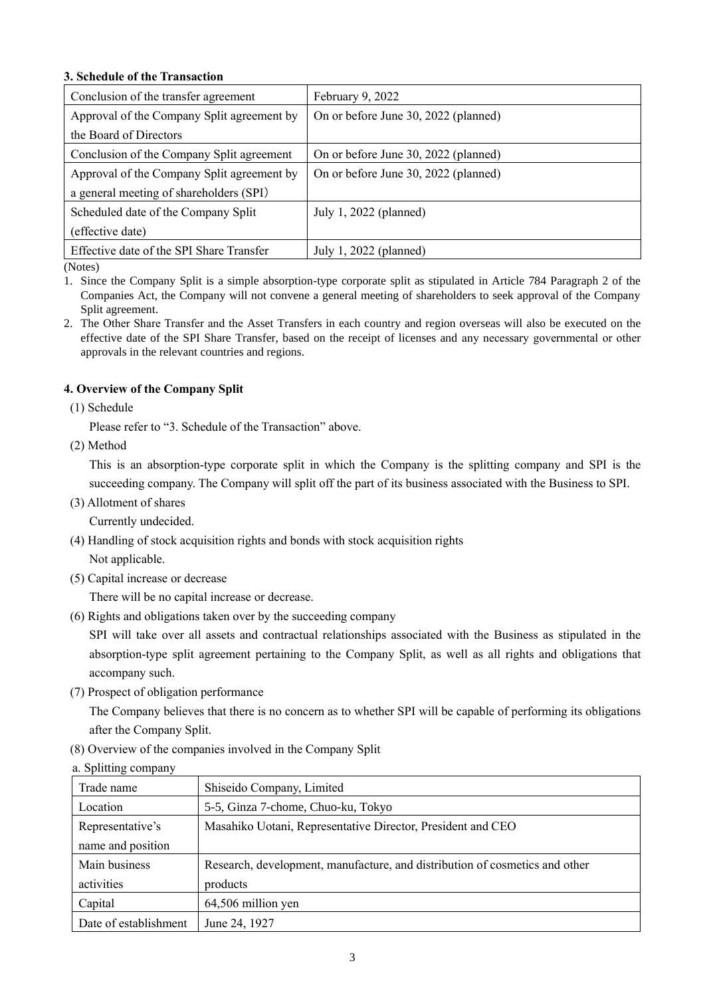# **3. Schedule of the Transaction**

| Conclusion of the transfer agreement       | February 9, 2022                     |
|--------------------------------------------|--------------------------------------|
| Approval of the Company Split agreement by | On or before June 30, 2022 (planned) |
| the Board of Directors                     |                                      |
| Conclusion of the Company Split agreement  | On or before June 30, 2022 (planned) |
| Approval of the Company Split agreement by | On or before June 30, 2022 (planned) |
| a general meeting of shareholders (SPI)    |                                      |
| Scheduled date of the Company Split        | July 1, 2022 (planned)               |
| (effective date)                           |                                      |
| Effective date of the SPI Share Transfer   | July 1, 2022 (planned)               |

(Notes)

1. Since the Company Split is a simple absorption-type corporate split as stipulated in Article 784 Paragraph 2 of the Companies Act, the Company will not convene a general meeting of shareholders to seek approval of the Company Split agreement.

2. The Other Share Transfer and the Asset Transfers in each country and region overseas will also be executed on the effective date of the SPI Share Transfer, based on the receipt of licenses and any necessary governmental or other approvals in the relevant countries and regions.

# **4. Overview of the Company Split**

(1) Schedule

Please refer to "3. Schedule of the Transaction" above.

(2) Method

This is an absorption-type corporate split in which the Company is the splitting company and SPI is the succeeding company. The Company will split off the part of its business associated with the Business to SPI.

(3) Allotment of shares

Currently undecided.

(4) Handling of stock acquisition rights and bonds with stock acquisition rights

Not applicable.

(5) Capital increase or decrease

There will be no capital increase or decrease.

(6) Rights and obligations taken over by the succeeding company

SPI will take over all assets and contractual relationships associated with the Business as stipulated in the absorption-type split agreement pertaining to the Company Split, as well as all rights and obligations that accompany such.

(7) Prospect of obligation performance

The Company believes that there is no concern as to whether SPI will be capable of performing its obligations after the Company Split.

(8) Overview of the companies involved in the Company Split

| a. Splitting company  |                                                                             |
|-----------------------|-----------------------------------------------------------------------------|
| Trade name            | Shiseido Company, Limited                                                   |
| Location              | 5-5, Ginza 7-chome, Chuo-ku, Tokyo                                          |
| Representative's      | Masahiko Uotani, Representative Director, President and CEO                 |
| name and position     |                                                                             |
| Main business         | Research, development, manufacture, and distribution of cosmetics and other |
| activities            | products                                                                    |
| Capital               | 64,506 million yen                                                          |
| Date of establishment | June 24, 1927                                                               |
|                       |                                                                             |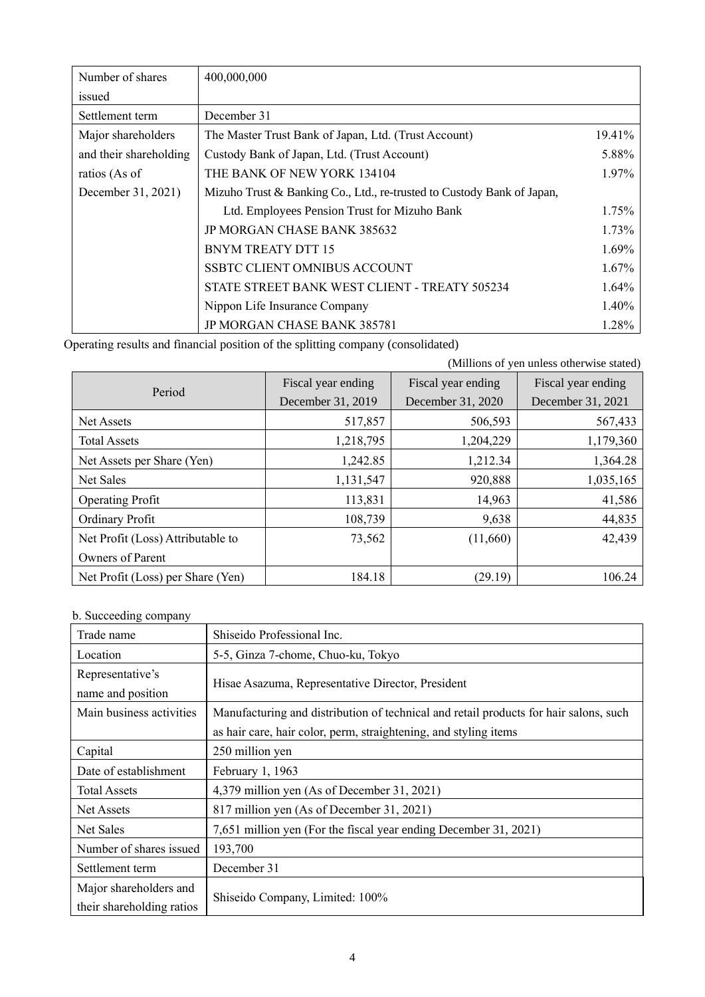| Number of shares       | 400,000,000                                                            |          |
|------------------------|------------------------------------------------------------------------|----------|
| issued                 |                                                                        |          |
| Settlement term        | December 31                                                            |          |
| Major shareholders     | The Master Trust Bank of Japan, Ltd. (Trust Account)                   | 19.41%   |
| and their shareholding | Custody Bank of Japan, Ltd. (Trust Account)                            | 5.88%    |
| ratios (As of          | THE BANK OF NEW YORK 134104                                            | 1.97%    |
| December 31, 2021)     | Mizuho Trust & Banking Co., Ltd., re-trusted to Custody Bank of Japan, |          |
|                        | Ltd. Employees Pension Trust for Mizuho Bank                           | 1.75%    |
|                        | <b>JP MORGAN CHASE BANK 385632</b>                                     | $1.73\%$ |
|                        | <b>BNYM TREATY DTT 15</b>                                              | 1.69%    |
|                        | SSBTC CLIENT OMNIBUS ACCOUNT                                           | 1.67%    |
|                        | STATE STREET BANK WEST CLIENT - TREATY 505234                          | $1.64\%$ |
|                        | Nippon Life Insurance Company                                          | 1.40%    |
|                        | JP MORGAN CHASE BANK 385781                                            | 1.28%    |

Operating results and financial position of the splitting company (consolidated)

|                                   |                    |                    | (Millions of yen unless otherwise stated) |
|-----------------------------------|--------------------|--------------------|-------------------------------------------|
|                                   | Fiscal year ending | Fiscal year ending | Fiscal year ending                        |
| Period                            | December 31, 2019  | December 31, 2020  | December 31, 2021                         |
| Net Assets                        | 517,857            | 506,593            | 567,433                                   |
| <b>Total Assets</b>               | 1,218,795          | 1,204,229          | 1,179,360                                 |
| Net Assets per Share (Yen)        | 1,242.85           | 1,212.34           | 1,364.28                                  |
| <b>Net Sales</b>                  | 1,131,547          | 920,888            | 1,035,165                                 |
| <b>Operating Profit</b>           | 113,831            | 14,963             | 41,586                                    |
| Ordinary Profit                   | 108,739            | 9,638              | 44,835                                    |
| Net Profit (Loss) Attributable to | 73,562             | (11,660)           | 42,439                                    |
| Owners of Parent                  |                    |                    |                                           |
| Net Profit (Loss) per Share (Yen) | 184.18             | (29.19)            | 106.24                                    |

# b. Succeeding company

| Trade name                                          | Shiseido Professional Inc.                                                            |  |
|-----------------------------------------------------|---------------------------------------------------------------------------------------|--|
| Location                                            | 5-5, Ginza 7-chome, Chuo-ku, Tokyo                                                    |  |
| Representative's<br>name and position               | Hisae Asazuma, Representative Director, President                                     |  |
| Main business activities                            | Manufacturing and distribution of technical and retail products for hair salons, such |  |
|                                                     | as hair care, hair color, perm, straightening, and styling items                      |  |
| Capital                                             | 250 million yen                                                                       |  |
| Date of establishment                               | February 1, 1963                                                                      |  |
| <b>Total Assets</b>                                 | 4,379 million yen (As of December 31, 2021)                                           |  |
| Net Assets                                          | 817 million yen (As of December 31, 2021)                                             |  |
| Net Sales                                           | 7,651 million yen (For the fiscal year ending December 31, 2021)                      |  |
| Number of shares issued                             | 193,700                                                                               |  |
| Settlement term                                     | December 31                                                                           |  |
| Major shareholders and<br>their shareholding ratios | Shiseido Company, Limited: 100%                                                       |  |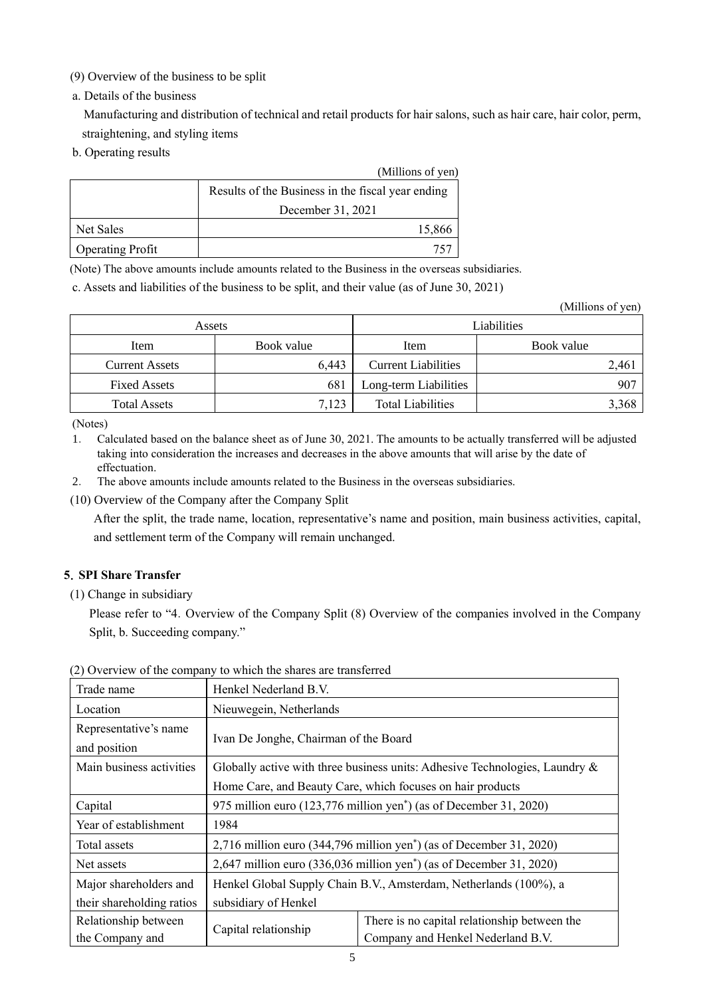- (9) Overview of the business to be split
- a. Details of the business

Manufacturing and distribution of technical and retail products for hair salons, such as hair care, hair color, perm, straightening, and styling items

b. Operating results

|                         | (Millions of yen)                                 |
|-------------------------|---------------------------------------------------|
|                         | Results of the Business in the fiscal year ending |
|                         | December 31, 2021                                 |
| Net Sales               | 15,866                                            |
| <b>Operating Profit</b> |                                                   |

(Note) The above amounts include amounts related to the Business in the overseas subsidiaries.

c. Assets and liabilities of the business to be split, and their value (as of June 30, 2021)

(Millions of yen)

| Assets                |            |                            | Liabilities |
|-----------------------|------------|----------------------------|-------------|
| Item                  | Book value | Item                       | Book value  |
| <b>Current Assets</b> | 6,443      | <b>Current Liabilities</b> | 2,461       |
| <b>Fixed Assets</b>   | 681        | Long-term Liabilities      | 907         |
| <b>Total Assets</b>   | 7,123      | <b>Total Liabilities</b>   | 3,368       |

(Notes)

1. Calculated based on the balance sheet as of June 30, 2021. The amounts to be actually transferred will be adjusted taking into consideration the increases and decreases in the above amounts that will arise by the date of effectuation.

- 2. The above amounts include amounts related to the Business in the overseas subsidiaries.
- (10) Overview of the Company after the Company Split

After the split, the trade name, location, representative's name and position, main business activities, capital, and settlement term of the Company will remain unchanged.

### **5**.**SPI Share Transfer**

(1) Change in subsidiary

Please refer to "4. Overview of the Company Split (8) Overview of the companies involved in the Company Split, b. Succeeding company."

| Trade name                            | Henkel Nederland B.V.                                                              |                                              |  |
|---------------------------------------|------------------------------------------------------------------------------------|----------------------------------------------|--|
| Location                              | Nieuwegein, Netherlands                                                            |                                              |  |
| Representative's name<br>and position | Ivan De Jonghe, Chairman of the Board                                              |                                              |  |
| Main business activities              | Globally active with three business units: Adhesive Technologies, Laundry $\&$     |                                              |  |
|                                       | Home Care, and Beauty Care, which focuses on hair products                         |                                              |  |
| Capital                               | 975 million euro (123,776 million yen <sup>*</sup> ) (as of December 31, 2020)     |                                              |  |
| Year of establishment                 | 1984                                                                               |                                              |  |
| Total assets                          | $2,716$ million euro (344,796 million yen <sup>*</sup> ) (as of December 31, 2020) |                                              |  |
| Net assets                            | 2,647 million euro (336,036 million yen <sup>*</sup> ) (as of December 31, 2020)   |                                              |  |
| Major shareholders and                | Henkel Global Supply Chain B.V., Amsterdam, Netherlands (100%), a                  |                                              |  |
| their shareholding ratios             | subsidiary of Henkel                                                               |                                              |  |
| Relationship between                  | Capital relationship                                                               | There is no capital relationship between the |  |
| the Company and                       |                                                                                    | Company and Henkel Nederland B.V.            |  |

(2) Overview of the company to which the shares are transferred